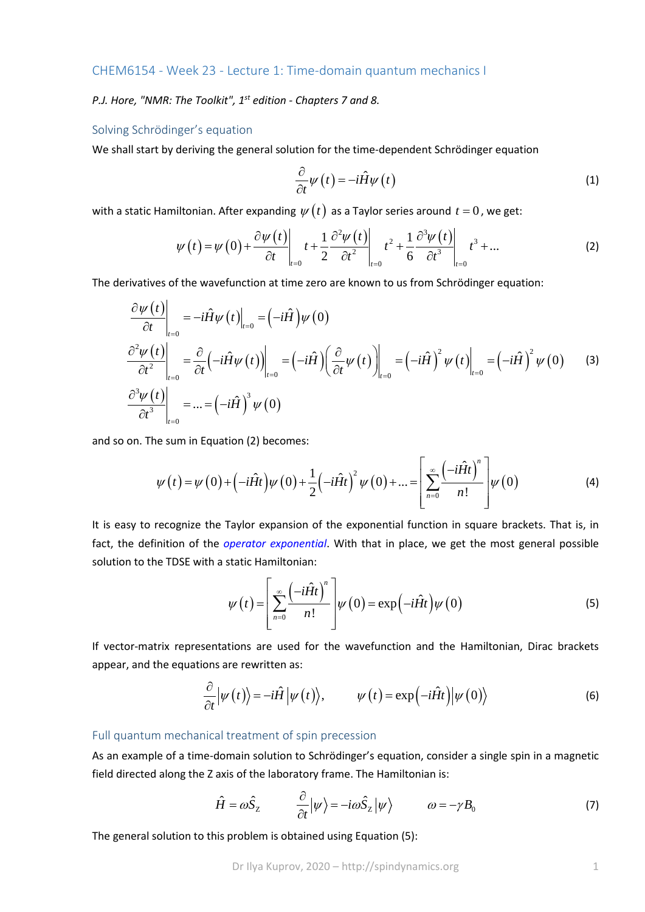## CHEM6154 - Week 23 - Lecture 1: Time-domain quantum mechanics I

*P.J. Hore, "NMR: The Toolkit", 1st edition - Chapters 7 and 8.*

## Solving Schrödinger's equation

We shall start by deriving the general solution for the time-dependent Schrödinger equation

$$
\frac{\partial}{\partial t}\psi(t) = -i\hat{H}\psi(t)
$$
\n(1)

with a static Hamiltonian. After expanding  $\psi(t)$  as a Taylor series around  $t = 0$ , we get:

$$
\psi(t) = \psi(0) + \frac{\partial \psi(t)}{\partial t}\bigg|_{t=0} t + \frac{1}{2} \frac{\partial^2 \psi(t)}{\partial t^2}\bigg|_{t=0} t^2 + \frac{1}{6} \frac{\partial^3 \psi(t)}{\partial t^3}\bigg|_{t=0} t^3 + \dots
$$
 (2)

The derivatives of the wavefunction at time zero are known to us from Schrödinger equation:

$$
\frac{\partial \psi(t)}{\partial t}\Big|_{t=0} = -i\hat{H}\psi(t)\Big|_{t=0} = \left(-i\hat{H}\right)\psi(0)
$$
\n
$$
\frac{\partial^2 \psi(t)}{\partial t^2}\Big|_{t=0} = \frac{\partial}{\partial t}\left(-i\hat{H}\psi(t)\right)\Big|_{t=0} = \left(-i\hat{H}\right)\left(\frac{\partial}{\partial t}\psi(t)\right)\Big|_{t=0} = \left(-i\hat{H}\right)^2\psi(t)\Big|_{t=0} = \left(-i\hat{H}\right)^2\psi(0) \tag{3}
$$
\n
$$
\frac{\partial^3 \psi(t)}{\partial t^3}\Big|_{t=0} = \dots = \left(-i\hat{H}\right)^3\psi(0)
$$

and so on. The sum in Equation (2) becomes:

$$
\psi(t) = \psi(0) + \left(-i\hat{H}t\right)\psi(0) + \frac{1}{2}\left(-i\hat{H}t\right)^2\psi(0) + \dots = \left[\sum_{n=0}^{\infty} \frac{\left(-i\hat{H}t\right)^n}{n!}\right]\psi(0)
$$
\n(4)

It is easy to recognize the Taylor expansion of the exponential function in square brackets. That is, in fact, the definition of the *operator exponential*. With that in place, we get the most general possible solution to the TDSE with a static Hamiltonian:

$$
\psi(t) = \left[\sum_{n=0}^{\infty} \frac{\left(-i\hat{H}t\right)^n}{n!} \right] \psi(0) = \exp\left(-i\hat{H}t\right) \psi(0) \tag{5}
$$

If vector-matrix representations are used for the wavefunction and the Hamiltonian, Dirac brackets appear, and the equations are rewritten as:

$$
\frac{\partial}{\partial t} \Big| \psi(t) \Big\rangle = -i\hat{H} \Big| \psi(t) \Big\rangle, \qquad \psi(t) = \exp(-i\hat{H}t) \Big| \psi(0) \Big\rangle \tag{6}
$$

## Full quantum mechanical treatment of spin precession

As an example of a time-domain solution to Schrödinger's equation, consider a single spin in a magnetic field directed along the Z axis of the laboratory frame. The Hamiltonian is:

$$
\hat{H} = \omega \hat{S}_z \qquad \frac{\partial}{\partial t} |\psi\rangle = -i\omega \hat{S}_z |\psi\rangle \qquad \omega = -\gamma B_0 \tag{7}
$$

The general solution to this problem is obtained using Equation (5):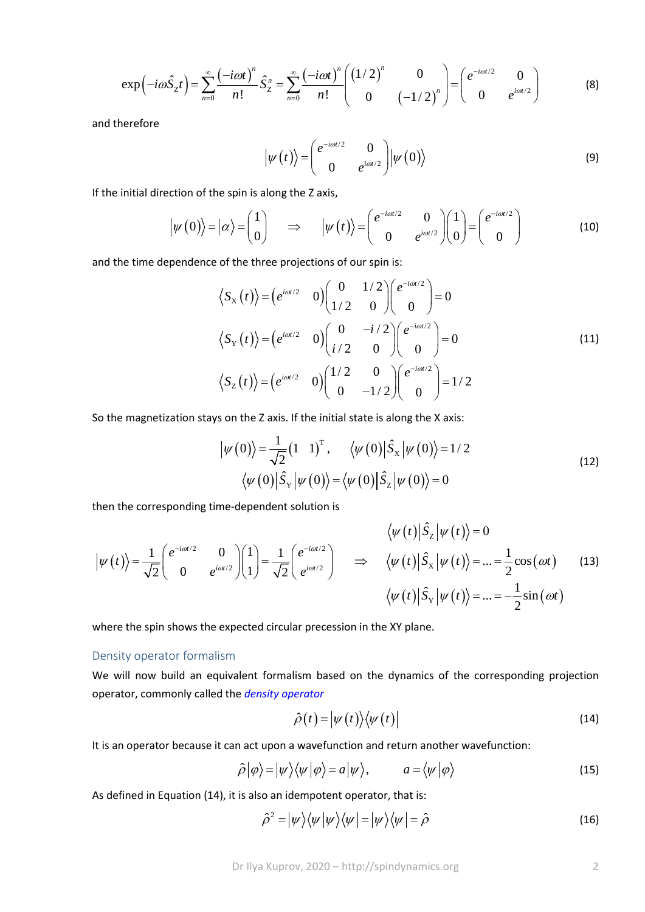$$
\exp(-i\omega \hat{S}_Z t) = \sum_{n=0}^{\infty} \frac{(-i\omega t)^n}{n!} \hat{S}_Z^n = \sum_{n=0}^{\infty} \frac{(-i\omega t)^n}{n!} \begin{pmatrix} (1/2)^n & 0\\ 0 & (-1/2)^n \end{pmatrix} = \begin{pmatrix} e^{-i\omega t/2} & 0\\ 0 & e^{i\omega t/2} \end{pmatrix}
$$
(8)

and therefore

$$
|\psi(t)\rangle = \begin{pmatrix} e^{-i\omega t/2} & 0\\ 0 & e^{i\omega t/2} \end{pmatrix} |\psi(0)\rangle
$$
 (9)

If the initial direction of the spin is along the Z axis,

$$
\left|\psi(0)\right\rangle = \left|\alpha\right\rangle = \begin{pmatrix} 1 \\ 0 \end{pmatrix} \implies \left|\psi(t)\right\rangle = \begin{pmatrix} e^{-i\omega t/2} & 0 \\ 0 & e^{i\omega t/2} \end{pmatrix} \begin{pmatrix} 1 \\ 0 \end{pmatrix} = \begin{pmatrix} e^{-i\omega t/2} \\ 0 \end{pmatrix}
$$
(10)

and the time dependence of the three projections of our spin is:

$$
\langle S_{\mathbf{x}}(t) \rangle = \begin{pmatrix} e^{i\omega t/2} & 0 \end{pmatrix} \begin{pmatrix} 0 & 1/2 \\ 1/2 & 0 \end{pmatrix} \begin{pmatrix} e^{-i\omega t/2} \\ 0 \end{pmatrix} = 0
$$
  

$$
\langle S_{\mathbf{x}}(t) \rangle = \begin{pmatrix} e^{i\omega t/2} & 0 \end{pmatrix} \begin{pmatrix} 0 & -i/2 \\ i/2 & 0 \end{pmatrix} \begin{pmatrix} e^{-i\omega t/2} \\ 0 \end{pmatrix} = 0
$$
  

$$
\langle S_{\mathbf{z}}(t) \rangle = \begin{pmatrix} e^{i\omega t/2} & 0 \end{pmatrix} \begin{pmatrix} 1/2 & 0 \\ 0 & -1/2 \end{pmatrix} \begin{pmatrix} e^{-i\omega t/2} \\ 0 \end{pmatrix} = 1/2
$$
 (11)

So the magnetization stays on the Z axis. If the initial state is along the X axis:

$$
\left|\psi(0)\right\rangle = \frac{1}{\sqrt{2}}\begin{pmatrix}1 & 1\end{pmatrix}^{\mathrm{T}}, \quad \left\langle\psi(0)\right|\hat{S}_{\chi}\left|\psi(0)\right\rangle = 1/2
$$
\n
$$
\left\langle\psi(0)\right|\hat{S}_{\gamma}\left|\psi(0)\right\rangle = \left\langle\psi(0)\right|\hat{S}_{\chi}\left|\psi(0)\right\rangle = 0
$$
\n(12)

then the corresponding time-dependent solution is

$$
\langle \psi(t) | \hat{S}_z | \psi(t) \rangle = 0
$$
  

$$
|\psi(t) \rangle = \frac{1}{\sqrt{2}} \begin{pmatrix} e^{-i\omega t/2} & 0 \\ 0 & e^{i\omega t/2} \end{pmatrix} \begin{pmatrix} 1 \\ 1 \end{pmatrix} = \frac{1}{\sqrt{2}} \begin{pmatrix} e^{-i\omega t/2} \\ e^{i\omega t/2} \end{pmatrix} \implies \langle \psi(t) | \hat{S}_x | \psi(t) \rangle = ... = \frac{1}{2} \cos(\omega t) \quad (13)
$$
  

$$
\langle \psi(t) | \hat{S}_x | \psi(t) \rangle = ... = -\frac{1}{2} \sin(\omega t)
$$

where the spin shows the expected circular precession in the XY plane.

## Density operator formalism

We will now build an equivalent formalism based on the dynamics of the corresponding projection operator, commonly called the *density operator*

$$
\hat{\rho}(t) = \left| \psi(t) \right\rangle \left\langle \psi(t) \right| \tag{14}
$$

It is an operator because it can act upon a wavefunction and return another wavefunction:

$$
\hat{\rho}|\varphi\rangle = |\psi\rangle\langle\psi|\varphi\rangle = a|\psi\rangle, \qquad a = \langle\psi|\varphi\rangle \qquad (15)
$$

As defined in Equation (14), it is also an idempotent operator, that is:

$$
\hat{\rho}^2 = |\psi\rangle\langle\psi|\psi\rangle\langle\psi| = |\psi\rangle\langle\psi| = \hat{\rho}
$$
\n(16)